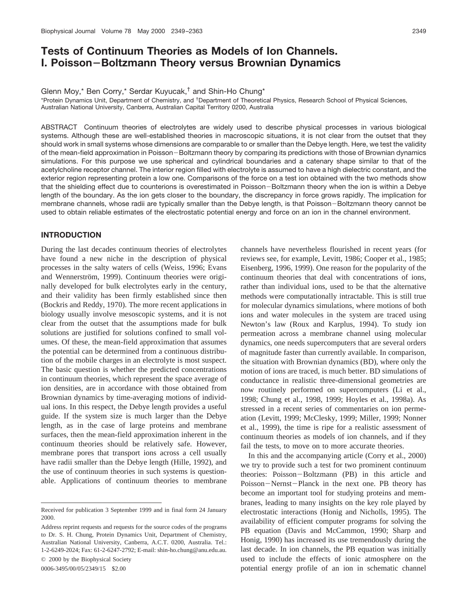# **Tests of Continuum Theories as Models of Ion Channels. I. Poisson**2**Boltzmann Theory versus Brownian Dynamics**

Glenn Moy,\* Ben Corry,\* Serdar Kuyucak,† and Shin-Ho Chung\*

\*Protein Dynamics Unit, Department of Chemistry, and † Department of Theoretical Physics, Research School of Physical Sciences, Australian National University, Canberra, Australian Capital Territory 0200, Australia

ABSTRACT Continuum theories of electrolytes are widely used to describe physical processes in various biological systems. Although these are well-established theories in macroscopic situations, it is not clear from the outset that they should work in small systems whose dimensions are comparable to or smaller than the Debye length. Here, we test the validity of the mean-field approximation in Poisson-Boltzmann theory by comparing its predictions with those of Brownian dynamics simulations. For this purpose we use spherical and cylindrical boundaries and a catenary shape similar to that of the acetylcholine receptor channel. The interior region filled with electrolyte is assumed to have a high dielectric constant, and the exterior region representing protein a low one. Comparisons of the force on a test ion obtained with the two methods show that the shielding effect due to counterions is overestimated in Poisson–Boltzmann theory when the ion is within a Debye length of the boundary. As the ion gets closer to the boundary, the discrepancy in force grows rapidly. The implication for membrane channels, whose radii are typically smaller than the Debye length, is that Poisson-Boltzmann theory cannot be used to obtain reliable estimates of the electrostatic potential energy and force on an ion in the channel environment.

# **INTRODUCTION**

During the last decades continuum theories of electrolytes have found a new niche in the description of physical processes in the salty waters of cells (Weiss, 1996; Evans and Wennerström, 1999). Continuum theories were originally developed for bulk electrolytes early in the century, and their validity has been firmly established since then (Bockris and Reddy, 1970). The more recent applications in biology usually involve mesoscopic systems, and it is not clear from the outset that the assumptions made for bulk solutions are justified for solutions confined to small volumes. Of these, the mean-field approximation that assumes the potential can be determined from a continuous distribution of the mobile charges in an electrolyte is most suspect. The basic question is whether the predicted concentrations in continuum theories, which represent the space average of ion densities, are in accordance with those obtained from Brownian dynamics by time-averaging motions of individual ions. In this respect, the Debye length provides a useful guide. If the system size is much larger than the Debye length, as in the case of large proteins and membrane surfaces, then the mean-field approximation inherent in the continuum theories should be relatively safe. However, membrane pores that transport ions across a cell usually have radii smaller than the Debye length (Hille, 1992), and the use of continuum theories in such systems is questionable. Applications of continuum theories to membrane

© 2000 by the Biophysical Society

0006-3495/00/05/2349/15 \$2.00

channels have nevertheless flourished in recent years (for reviews see, for example, Levitt, 1986; Cooper et al., 1985; Eisenberg, 1996, 1999). One reason for the popularity of the continuum theories that deal with concentrations of ions, rather than individual ions, used to be that the alternative methods were computationally intractable. This is still true for molecular dynamics simulations, where motions of both ions and water molecules in the system are traced using Newton's law (Roux and Karplus, 1994). To study ion permeation across a membrane channel using molecular dynamics, one needs supercomputers that are several orders of magnitude faster than currently available. In comparison, the situation with Brownian dynamics (BD), where only the motion of ions are traced, is much better. BD simulations of conductance in realistic three-dimensional geometries are now routinely performed on supercomputers (Li et al., 1998; Chung et al., 1998, 1999; Hoyles et al., 1998a). As stressed in a recent series of commentaries on ion permeation (Levitt, 1999; McClesky, 1999; Miller, 1999; Nonner et al., 1999), the time is ripe for a realistic assessment of continuum theories as models of ion channels, and if they fail the tests, to move on to more accurate theories.

In this and the accompanying article (Corry et al., 2000) we try to provide such a test for two prominent continuum theories: Poisson-Boltzmann (PB) in this article and Poisson-Nernst-Planck in the next one. PB theory has become an important tool for studying proteins and membranes, leading to many insights on the key role played by electrostatic interactions (Honig and Nicholls, 1995). The availability of efficient computer programs for solving the PB equation (Davis and McCammon, 1990; Sharp and Honig, 1990) has increased its use tremendously during the last decade. In ion channels, the PB equation was initially used to include the effects of ionic atmosphere on the potential energy profile of an ion in schematic channel

Received for publication 3 September 1999 and in final form 24 January 2000.

Address reprint requests and requests for the source codes of the programs to Dr. S. H. Chung, Protein Dynamics Unit, Department of Chemistry, Australian National University, Canberra, A.C.T. 0200, Australia. Tel.: 1-2-6249-2024; Fax: 61-2-6247-2792; E-mail: shin-ho.chung@anu.edu.au.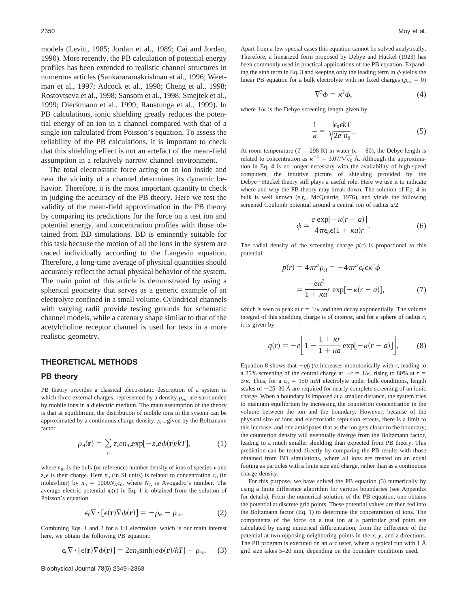models (Levitt, 1985; Jordan et al., 1989; Cai and Jordan, 1990). More recently, the PB calculation of potential energy profiles has been extended to realistic channel structures in numerous articles (Sankararamakrishnan et al., 1996; Weetman et al., 1997; Adcock et al., 1998; Cheng et al., 1998; Rostovtseva et al., 1998; Sansom et al., 1998; Smejtek et al., 1999; Dieckmann et al., 1999; Ranatunga et al., 1999). In PB calculations, ionic shielding greatly reduces the potential energy of an ion in a channel compared with that of a single ion calculated from Poisson's equation. To assess the reliability of the PB calculations, it is important to check that this shielding effect is not an artefact of the mean-field assumption in a relatively narrow channel environment.

The total electrostatic force acting on an ion inside and near the vicinity of a channel determines its dynamic behavior. Therefore, it is the most important quantity to check in judging the accuracy of the PB theory. Here we test the validity of the mean-field approximation in the PB theory by comparing its predictions for the force on a test ion and potential energy, and concentration profiles with those obtained from BD simulations. BD is eminently suitable for this task because the motion of all the ions in the system are traced individually according to the Langevin equation. Therefore, a long-time average of physical quantities should accurately reflect the actual physical behavior of the system. The main point of this article is demonstrated by using a spherical geometry that serves as a generic example of an electrolyte confined in a small volume. Cylindrical channels with varying radii provide testing grounds for schematic channel models, while a catenary shape similar to that of the acetylcholine receptor channel is used for tests in a more realistic geometry.

# **THEORETICAL METHODS**

#### **PB theory**

PB theory provides a classical electrostatic description of a system in which fixed external charges, represented by a density  $\rho_{\rm ex}$ , are surrounded by mobile ions in a dielectric medium. The main assumption of the theory is that at equilibrium, the distribution of mobile ions in the system can be approximated by a continuous charge density,  $\rho_{el}$ , given by the Boltzmann factor

$$
\rho_{\rm el}(\mathbf{r}) = \sum_{\nu} z_{\nu} e n_{0\nu} \exp[-z_{\nu} e \phi(\mathbf{r})/kT], \tag{1}
$$

where  $n_{0\nu}$  is the bulk (or reference) number density of ions of species  $\nu$  and  $z<sub>v</sub>e$  is their charge. Here  $n<sub>0</sub>$  (in SI units) is related to concentration  $c<sub>0</sub>$  (in moles/liter) by  $n_0 = 1000N_A c_0$ , where  $N_A$  is Avogadro's number. The average electric potential  $\phi(\mathbf{r})$  in Eq. 1 is obtained from the solution of Poisson's equation

$$
\epsilon_0 \nabla \cdot [\epsilon(\mathbf{r}) \nabla \phi(\mathbf{r})] = -\rho_{\rm el} - \rho_{\rm ex}.
$$
 (2)

Combining Eqs. 1 and 2 for a 1:1 electrolyte, which is our main interest here, we obtain the following PB equation:

$$
\epsilon_0 \nabla \cdot [\epsilon(\mathbf{r}) \nabla \phi(\mathbf{r})] = 2e n_0 \sinh[e \phi(\mathbf{r})/kT] - \rho_{\text{ex}}.
$$
 (3)

Biophysical Journal 78(5) 2349–2363

Apart from a few special cases this equation cannot be solved analytically. Therefore, a linearized form proposed by Debye and Hückel (1923) has been commonly used in practical applications of the PB equation. Expanding the sinh term in Eq. 3 and keeping only the leading term in  $\phi$  yields the linear PB equation for a bulk electrolyte with no fixed charges ( $\rho_{\text{ex}} = 0$ )

$$
\nabla^2 \phi = \kappa^2 \phi,\tag{4}
$$

where  $1/\kappa$  is the Debye screening length given by

$$
\frac{1}{\kappa} = \sqrt{\frac{\epsilon_0 \epsilon kT}{2e^2 n_0}}.
$$
\n(5)

At room temperature ( $T = 298$  K) in water ( $\epsilon = 80$ ), the Debye length is related to concentration as  $\kappa^{-1} = 3.07/\sqrt{c_0}$  Å. Although the approximation in Eq. 4 is no longer necessary with the availability of high-speed computers, the intuitive picture of shielding provided by the Debye-Hückel theory still plays a useful role. Here we use it to indicate where and why the PB theory may break down. The solution of Eq. 4 in bulk is well known (e.g., McQuarrie, 1976), and yields the following screened Coulomb potential around a central ion of radius *a*/2

$$
\phi = \frac{e \exp[-\kappa(r-a)]}{4\pi\epsilon_0 \epsilon (1 + \kappa a)r}.
$$
\n(6)

The radial density of the screening charge  $p(r)$  is proportional to this potential

$$
p(r) = 4\pi r^2 \rho_{el} = -4\pi r^2 \epsilon_0 \epsilon \kappa^2 \phi
$$

$$
= \frac{-e\kappa^2}{1 + \kappa a} r \exp[-\kappa(r - a)], \tag{7}
$$

which is seen to peak at  $r = 1/\kappa$  and then decay exponentially. The volume integral of this shielding charge is of interest, and for a sphere of radius *r*, it is given by

$$
q(r) = -e\bigg[1 - \frac{1 + \kappa r}{1 + \kappa a} \exp[-\kappa (r - a)]\bigg],\qquad(8)
$$

Equation 8 shows that  $-q(r)/e$  increases monotonically with *r*, leading to a 25% screening of the central charge at  $\sim r = 1/\kappa$ , rising to 80% at  $r =$  $3/\kappa$ . Thus, for a  $c_0 = 150$  mM electrolyte under bulk conditions, length scales of  $\sim$ 25–30 Å are required for nearly complete screening of an ionic charge. When a boundary is imposed at a smaller distance, the system tries to maintain equilibrium by increasing the counterion concentration in the volume between the ion and the boundary. However, because of the physical size of ions and electrostatic repulsion effects, there is a limit to this increase, and one anticipates that as the ion gets closer to the boundary, the counterion density will eventually diverge from the Boltzmann factor, leading to a much smaller shielding than expected from PB theory. This prediction can be tested directly by comparing the PB results with those obtained from BD simulations, where all ions are treated on an equal footing as particles with a finite size and charge, rather than as a continuous charge density.

For this purpose, we have solved the PB equation (3) numerically by using a finite difference algorithm for various boundaries (see Appendix for details). From the numerical solution of the PB equation, one obtains the potential at discrete grid points. These potential values are then fed into the Boltzmann factor (Eq. 1) to determine the concentration of ions. The components of the force on a test ion at a particular grid point are calculated by using numerical differentiation, from the difference of the potential at two opposing neighboring points in the *x*, *y*, and *z* directions. The PB program is executed on an  $\alpha$  cluster, where a typical run with 1 Å grid size takes 5–20 min, depending on the boundary conditions used.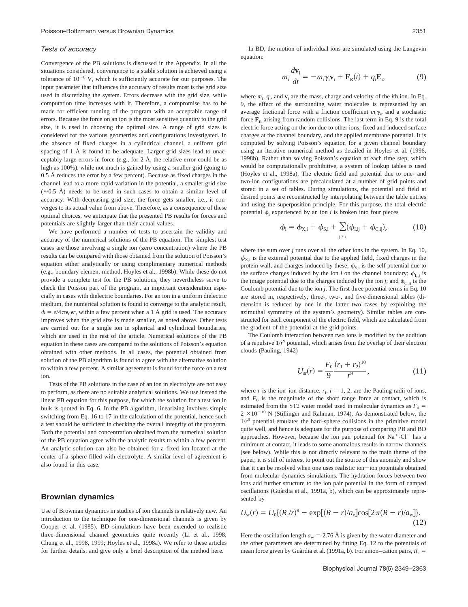#### *Tests of accuracy*

Convergence of the PB solutions is discussed in the Appendix. In all the situations considered, convergence to a stable solution is achieved using a tolerance of  $10^{-6}$  V, which is sufficiently accurate for our purposes. The input parameter that influences the accuracy of results most is the grid size used in discretizing the system. Errors decrease with the grid size, while computation time increases with it. Therefore, a compromise has to be made for efficient running of the program with an acceptable range of errors. Because the force on an ion is the most sensitive quantity to the grid size, it is used in choosing the optimal size. A range of grid sizes is considered for the various geometries and configurations investigated. In the absence of fixed charges in a cylindrical channel, a uniform grid spacing of 1 Å is found to be adequate. Larger grid sizes lead to unacceptably large errors in force (e.g., for 2 Å, the relative error could be as high as 100%), while not much is gained by using a smaller grid (going to 0.5 Å reduces the error by a few percent). Because as fixed charges in the channel lead to a more rapid variation in the potential, a smaller grid size  $(\approx 0.5 \text{ Å})$  needs to be used in such cases to obtain a similar level of accuracy. With decreasing grid size, the force gets smaller, i.e., it converges to its actual value from above. Therefore, as a consequence of these optimal choices, we anticipate that the presented PB results for forces and potentials are slightly larger than their actual values.

We have performed a number of tests to ascertain the validity and accuracy of the numerical solutions of the PB equation. The simplest test cases are those involving a single ion (zero concentration) where the PB results can be compared with those obtained from the solution of Poisson's equation either analytically or using complimentary numerical methods (e.g., boundary element method, Hoyles et al., 1998b). While these do not provide a complete test for the PB solutions, they nevertheless serve to check the Poisson part of the program, an important consideration especially in cases with dielectric boundaries. For an ion in a uniform dielectric medium, the numerical solution is found to converge to the analytic result,  $\phi = e/4\pi\epsilon_0\epsilon r$ , within a few percent when a 1 Å grid is used. The accuracy improves when the grid size is made smaller, as noted above. Other tests are carried out for a single ion in spherical and cylindrical boundaries, which are used in the rest of the article. Numerical solutions of the PB equation in these cases are compared to the solutions of Poisson's equation obtained with other methods. In all cases, the potential obtained from solution of the PB algorithm is found to agree with the alternative solution to within a few percent. A similar agreement is found for the force on a test ion.

Tests of the PB solutions in the case of an ion in electrolyte are not easy to perform, as there are no suitable analytical solutions. We use instead the linear PB equation for this purpose, for which the solution for a test ion in bulk is quoted in Eq. 6. In the PB algorithm, linearizing involves simply switching from Eq. 16 to 17 in the calculation of the potential, hence such a test should be sufficient in checking the overall integrity of the program. Both the potential and concentration obtained from the numerical solution of the PB equation agree with the analytic results to within a few percent. An analytic solution can also be obtained for a fixed ion located at the center of a sphere filled with electrolyte. A similar level of agreement is also found in this case.

#### **Brownian dynamics**

Use of Brownian dynamics in studies of ion channels is relatively new. An introduction to the technique for one-dimensional channels is given by Cooper et al. (1985). BD simulations have been extended to realistic three-dimensional channel geometries quite recently (Li et al., 1998; Chung et al., 1998, 1999; Hoyles et al., 1998a). We refer to these articles for further details, and give only a brief description of the method here.

In BD, the motion of individual ions are simulated using the Langevin equation:

$$
m_i \frac{d\mathbf{v}_i}{dt} = -m_i \gamma_i \mathbf{v}_i + \mathbf{F}_R(t) + q_i \mathbf{E}_i,
$$
 (9)

where  $m_i$ ,  $q_i$ , and  $\mathbf{v}_i$  are the mass, charge and velocity of the *i*th ion. In Eq. 9, the effect of the surrounding water molecules is represented by an average frictional force with a friction coefficient  $m_i \gamma_i$ , and a stochastic force  $\mathbf{F}_R$  arising from random collisions. The last term in Eq. 9 is the total electric force acting on the ion due to other ions, fixed and induced surface charges at the channel boundary, and the applied membrane potential. It is computed by solving Poisson's equation for a given channel boundary using an iterative numerical method as detailed in Hoyles et al. (1996, 1998b). Rather than solving Poisson's equation at each time step, which would be computationally prohibitive, a system of lookup tables is used (Hoyles et al., 1998a). The electric field and potential due to one- and two-ion configurations are precalculated at a number of grid points and stored in a set of tables. During simulations, the potential and field at desired points are reconstructed by interpolating between the table entries and using the superposition principle. For this purpose, the total electric potential  $\phi_i$  experienced by an ion *i* is broken into four pieces

$$
\phi_{i} = \phi_{X,i} + \phi_{S,i} + \sum_{j \neq i} (\phi_{I,ij} + \phi_{C,ij}), \qquad (10)
$$

where the sum over *j* runs over all the other ions in the system. In Eq. 10,  $\phi_{X,i}$  is the external potential due to the applied field, fixed charges in the protein wall, and charges induced by these;  $\phi_{S,i}$  is the self potential due to the surface charges induced by the ion *i* on the channel boundary;  $\phi$ <sub>Lii</sub> is the image potential due to the charges induced by the ion *j*; and  $\phi_{\text{C,ij}}$  is the Coulomb potential due to the ion *j*. The first three potential terms in Eq. 10 are stored in, respectively, three-, two-, and five-dimensional tables (dimension is reduced by one in the latter two cases by exploiting the azimuthal symmetry of the system's geometry). Similar tables are constructed for each component of the electric field, which are calculated from the gradient of the potential at the grid points.

The Coulomb interaction between two ions is modified by the addition of a repulsive 1/*r* <sup>9</sup> potential, which arises from the overlap of their electron clouds (Pauling, 1942)

$$
U_{\rm sr}(r) = \frac{F_0}{9} \frac{(r_1 + r_2)^{10}}{r^9},\tag{11}
$$

where *r* is the ion–ion distance,  $r_i$ ,  $i = 1, 2$ , are the Pauling radii of ions, and  $F_0$  is the magnitude of the short range force at contact, which is estimated from the ST2 water model used in molecular dynamics as  $F_0 =$  $2 \times 10^{-10}$  N (Stillinger and Rahman, 1974). As demonstrated below, the 1/ $r<sup>9</sup>$  potential emulates the hard-sphere collisions in the primitive model quite well, and hence is adequate for the purpose of comparing PB and BD approaches. However, because the ion pair potential for  $Na<sup>+</sup>-Cl<sup>-</sup>$  has a minimum at contact, it leads to some anomalous results in narrow channels (see below). While this is not directly relevant to the main theme of the paper, it is still of interest to point out the source of this anomaly and show that it can be resolved when one uses realistic ion $-$ ion potentials obtained from molecular dynamics simulations. The hydration forces between two ions add further structure to the ion pair potential in the form of damped oscillations (Gua`rdia et al., 1991a, b), which can be approximately represented by

$$
U_{\rm sr}(r) = U_0 \{ (R_c/r)^9 - \exp[(R-r)/a_e] \cos[2\pi (R-r)/a_w] \}.
$$
\n(12)

Here the oscillation length  $a_w = 2.76$  Å is given by the water diameter and the other parameters are determined by fitting Eq. 12 to the potentials of mean force given by Guàrdia et al. (1991a, b). For anion–cation pairs,  $R_c$  =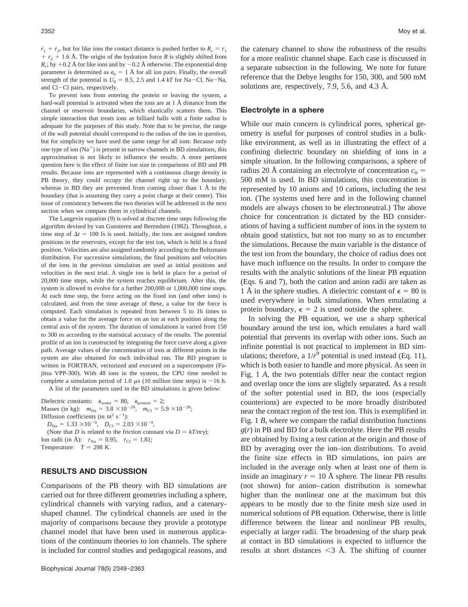$r_1 + r_2$ , but for like ions the contact distance is pushed further to  $R_c = r_1$  $+r<sub>2</sub> + 1.6$  Å. The origin of the hydration force *R* is slightly shifted from  $R_c$ ; by  $+0.2$  Å for like ions and by  $-0.2$  Å otherwise. The exponential drop parameter is determined as  $a_e = 1$  Å for all ion pairs. Finally, the overall strength of the potential is  $U_0 = 8.5$ , 2.5 and 1.4  $kT$  for Na-Cl, Na-Na, and Cl-Cl pairs, respectively.

To prevent ions from entering the protein or leaving the system, a hard-wall potential is activated when the ions are at 1 Å distance from the channel or reservoir boundaries, which elastically scatters them. This simple interaction that treats ions as billiard balls with a finite radius is adequate for the purposes of this study. Note that to be precise, the range of the wall potential should correspond to the radius of the ion in question, but for simplicity we have used the same range for all ions. Because only one type of ion  $(Na^+)$  is present in narrow channels in BD simulations, this approximation is not likely to influence the results. A more pertinent question here is the effect of finite ion size in comparisons of BD and PB results. Because ions are represented with a continuous charge density in PB theory, they could occupy the channel right up to the boundary, whereas in BD they are prevented from coming closer than 1 Å to the boundary (that is assuming they carry a point charge at their center). This issue of consistency between the two theories will be addressed in the next section when we compare them in cylindrical channels.

The Langevin equation (9) is solved at discrete time steps following the algorithm devised by van Gunsteren and Berendsen (1982). Throughout, a time step of  $\Delta t = 100$  fs is used. Initially, the ions are assigned random positions in the reservoirs, except for the test ion, which is held in a fixed position. Velocities are also assigned randomly according to the Boltzmann distribution. For successive simulations, the final positions and velocities of the ions in the previous simulation are used as initial positions and velocities in the next trial. A single ion is held in place for a period of 20,000 time steps, while the system reaches equilibrium. After this, the system is allowed to evolve for a further 200,000 or 1,000,000 time steps. At each time step, the force acting on the fixed ion (and other ions) is calculated, and from the time average of these, a value for the force is computed. Each simulation is repeated from between 5 to 16 times to obtain a value for the average force on an ion at each position along the central axis of the system. The duration of simulations is varied from 150 to 300 ns according to the statistical accuracy of the results. The potential profile of an ion is constructed by integrating the force curve along a given path. Average values of the concentration of ions at different points in the system are also obtained for each individual run. The BD program is written in FORTRAN, vectorized and executed on a supercomputer (Fujitsu VPP-300). With 48 ions in the system, the CPU time needed to complete a simulation period of 1.0  $\mu$ s (10 million time steps) is ~16 h.

A list of the parameters used in the BD simulations is given below:

Dielectric constants:  $\epsilon_{\text{water}} = 80$ ,  $\epsilon_{\text{protein}} = 2$ ; Masses (in kg):  $m_{\text{Na}} = 3.8 \times 10^{-26}$ ,  $m_{\text{Cl}} = 5.9 \times 10^{-26}$ ; Diffusion coefficients (in  $m^2 s^{-1}$ ):  $D_{\text{Na}} = 1.33 \times 10^{-9}, \quad D_{\text{Cl}} = 2.03 \times 10^{-9},$ (Note that *D* is related to the friction constant via  $D = kT/m\gamma$ ); Ion radii (in Å):  $r_{\text{Na}} = 0.95$ ,  $r_{\text{Cl}} = 1.81$ ; Temperature:  $T = 298$  K.

# **RESULTS AND DISCUSSION**

Comparisons of the PB theory with BD simulations are carried out for three different geometries including a sphere, cylindrical channels with varying radius, and a catenaryshaped channel. The cylindrical channels are used in the majority of comparisons because they provide a prototype channel model that have been used in numerous applications of the continuum theories to ion channels. The sphere is included for control studies and pedagogical reasons, and the catenary channel to show the robustness of the results for a more realistic channel shape. Each case is discussed in a separate subsection in the following. We note for future reference that the Debye lengths for 150, 300, and 500 mM solutions are, respectively, 7.9, 5.6, and 4.3 Å.

#### **Electrolyte in a sphere**

While our main concern is cylindrical pores, spherical geometry is useful for purposes of control studies in a bulklike environment, as well as in illustrating the effect of a confining dielectric boundary on shielding of ions in a simple situation. In the following comparisons, a sphere of radius 20 A containing an electrolyte of concentration  $c_0$  = 500 mM is used. In BD simulations, this concentration is represented by 10 anions and 10 cations, including the test ion. (The systems used here and in the following channel models are always chosen to be electroneutral.) The above choice for concentration is dictated by the BD considerations of having a sufficient number of ions in the system to obtain good statistics, but not too many so as to encumber the simulations. Because the main variable is the distance of the test ion from the boundary, the choice of radius does not have much influence on the results. In order to compare the results with the analytic solutions of the linear PB equation (Eqs. 6 and 7), both the cation and anion radii are taken as 1 A in the sphere studies. A dielectric constant of  $\epsilon = 80$  is used everywhere in bulk simulations. When emulating a protein boundary,  $\epsilon = 2$  is used outside the sphere.

In solving the PB equation, we use a sharp spherical boundary around the test ion, which emulates a hard wall potential that prevents its overlap with other ions. Such an infinite potential is not practical to implement in BD simulations; therefore, a  $1/r^9$  potential is used instead (Eq. 11), which is both easier to handle and more physical. As seen in Fig. 1 *A*, the two potentials differ near the contact region and overlap once the ions are slightly separated. As a result of the softer potential used in BD, the ions (especially counterions) are expected to be more broadly distributed near the contact region of the test ion. This is exemplified in Fig. 1 *B*, where we compare the radial distribution functions *g*(*r*) in PB and BD for a bulk electrolyte. Here the PB results are obtained by fixing a test cation at the origin and those of BD by averaging over the ion–ion distributions. To avoid the finite size effects in BD simulations, ion pairs are included in the average only when at least one of them is inside an imaginary  $r = 10$  Å sphere. The linear PB results (not shown) for anion–cation distribution is somewhat higher than the nonlinear one at the maximum but this appears to be mostly due to the finite mesh size used in numerical solutions of PB equation. Otherwise, there is little difference between the linear and nonlinear PB results, especially at larger radii. The broadening of the sharp peak at contact in BD simulations is expected to influence the results at short distances  $\leq$ 3 Å. The shifting of counter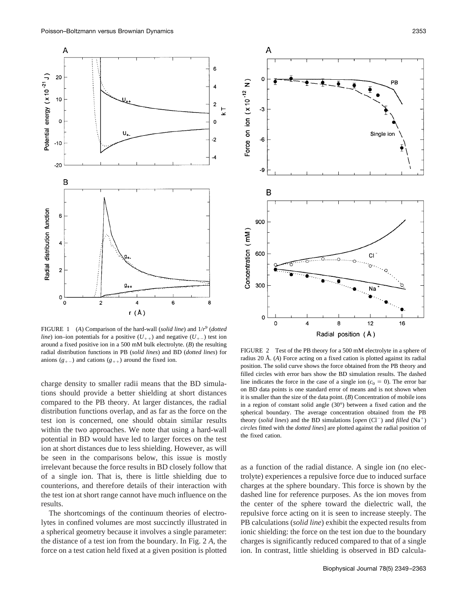

FIGURE 1 (*A*) Comparison of the hard-wall (*solid line*) and 1/*r* <sup>9</sup> (*dotted line*) ion–ion potentials for a positive  $(U_{++})$  and negative  $(U_{+-})$  test ion around a fixed positive ion in a 500 mM bulk electrolyte. (*B*) the resulting radial distribution functions in PB (*solid lines*) and BD (*dotted lines*) for anions  $(g_{+-})$  and cations  $(g_{++})$  around the fixed ion.

charge density to smaller radii means that the BD simulations should provide a better shielding at short distances compared to the PB theory. At larger distances, the radial distribution functions overlap, and as far as the force on the test ion is concerned, one should obtain similar results within the two approaches. We note that using a hard-wall potential in BD would have led to larger forces on the test ion at short distances due to less shielding. However, as will be seen in the comparisons below, this issue is mostly irrelevant because the force results in BD closely follow that of a single ion. That is, there is little shielding due to counterions, and therefore details of their interaction with the test ion at short range cannot have much influence on the results.

The shortcomings of the continuum theories of electrolytes in confined volumes are most succinctly illustrated in a spherical geometry because it involves a single parameter: the distance of a test ion from the boundary. In Fig. 2 *A*, the force on a test cation held fixed at a given position is plotted



FIGURE 2 Test of the PB theory for a 500 mM electrolyte in a sphere of radius 20 Å. (*A*) Force acting on a fixed cation is plotted against its radial position. The solid curve shows the force obtained from the PB theory and filled circles with error bars show the BD simulation results. The dashed line indicates the force in the case of a single ion  $(c_0 = 0)$ . The error bar on BD data points is one standard error of means and is not shown when it is smaller than the size of the data point. (*B*) Concentration of mobile ions in a region of constant solid angle (30°) between a fixed cation and the spherical boundary. The average concentration obtained from the PB theory (*solid lines*) and the BD simulations [*open* (Cl<sup>-</sup>) and *filled* (Na<sup>+</sup>) *circles* fitted with the *dotted lines*] are plotted against the radial position of the fixed cation.

as a function of the radial distance. A single ion (no electrolyte) experiences a repulsive force due to induced surface charges at the sphere boundary. This force is shown by the dashed line for reference purposes. As the ion moves from the center of the sphere toward the dielectric wall, the repulsive force acting on it is seen to increase steeply. The PB calculations (*solid line*) exhibit the expected results from ionic shielding: the force on the test ion due to the boundary charges is significantly reduced compared to that of a single ion. In contrast, little shielding is observed in BD calcula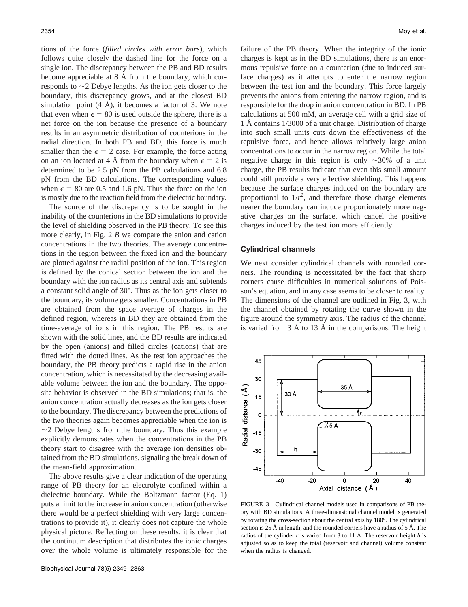tions of the force (*filled circles with error bars*), which follows quite closely the dashed line for the force on a single ion. The discrepancy between the PB and BD results become appreciable at 8 Å from the boundary, which corresponds to  $\sim$ 2 Debye lengths. As the ion gets closer to the boundary, this discrepancy grows, and at the closest BD simulation point  $(4 \text{ Å})$ , it becomes a factor of 3. We note that even when  $\epsilon = 80$  is used outside the sphere, there is a net force on the ion because the presence of a boundary results in an asymmetric distribution of counterions in the radial direction. In both PB and BD, this force is much smaller than the  $\epsilon = 2$  case. For example, the force acting on an ion located at 4 Å from the boundary when  $\epsilon = 2$  is determined to be 2.5 pN from the PB calculations and 6.8 pN from the BD calculations. The corresponding values when  $\epsilon = 80$  are 0.5 and 1.6 pN. Thus the force on the ion is mostly due to the reaction field from the dielectric boundary.

The source of the discrepancy is to be sought in the inability of the counterions in the BD simulations to provide the level of shielding observed in the PB theory. To see this more clearly, in Fig. 2 *B* we compare the anion and cation concentrations in the two theories. The average concentrations in the region between the fixed ion and the boundary are plotted against the radial position of the ion. This region is defined by the conical section between the ion and the boundary with the ion radius as its central axis and subtends a constant solid angle of 30°. Thus as the ion gets closer to the boundary, its volume gets smaller. Concentrations in PB are obtained from the space average of charges in the defined region, whereas in BD they are obtained from the time-average of ions in this region. The PB results are shown with the solid lines, and the BD results are indicated by the open (anions) and filled circles (cations) that are fitted with the dotted lines. As the test ion approaches the boundary, the PB theory predicts a rapid rise in the anion concentration, which is necessitated by the decreasing available volume between the ion and the boundary. The opposite behavior is observed in the BD simulations; that is, the anion concentration actually decreases as the ion gets closer to the boundary. The discrepancy between the predictions of the two theories again becomes appreciable when the ion is  $\sim$ 2 Debye lengths from the boundary. Thus this example explicitly demonstrates when the concentrations in the PB theory start to disagree with the average ion densities obtained from the BD simulations, signaling the break down of the mean-field approximation.

The above results give a clear indication of the operating range of PB theory for an electrolyte confined within a dielectric boundary. While the Boltzmann factor (Eq. 1) puts a limit to the increase in anion concentration (otherwise there would be a perfect shielding with very large concentrations to provide it), it clearly does not capture the whole physical picture. Reflecting on these results, it is clear that the continuum description that distributes the ionic charges over the whole volume is ultimately responsible for the

failure of the PB theory. When the integrity of the ionic charges is kept as in the BD simulations, there is an enormous repulsive force on a counterion (due to induced surface charges) as it attempts to enter the narrow region between the test ion and the boundary. This force largely prevents the anions from entering the narrow region, and is responsible for the drop in anion concentration in BD. In PB calculations at 500 mM, an average cell with a grid size of 1 Å contains 1/3000 of a unit charge. Distribution of charge into such small units cuts down the effectiveness of the repulsive force, and hence allows relatively large anion concentrations to occur in the narrow region. While the total negative charge in this region is only  $\sim$ 30% of a unit charge, the PB results indicate that even this small amount could still provide a very effective shielding. This happens because the surface charges induced on the boundary are proportional to  $1/r^2$ , and therefore those charge elements nearer the boundary can induce proportionately more negative charges on the surface, which cancel the positive charges induced by the test ion more efficiently.

## **Cylindrical channels**

We next consider cylindrical channels with rounded corners. The rounding is necessitated by the fact that sharp corners cause difficulties in numerical solutions of Poisson's equation, and in any case seems to be closer to reality. The dimensions of the channel are outlined in Fig. 3, with the channel obtained by rotating the curve shown in the figure around the symmetry axis. The radius of the channel is varied from  $3 \text{ Å}$  to  $13 \text{ Å}$  in the comparisons. The height



FIGURE 3 Cylindrical channel models used in comparisons of PB theory with BD simulations. A three-dimensional channel model is generated by rotating the cross-section about the central axis by 180°. The cylindrical section is 25 Å in length, and the rounded corners have a radius of 5 Å. The radius of the cylinder *r* is varied from 3 to 11 Å. The reservoir height *h* is adjusted so as to keep the total (reservoir and channel) volume constant when the radius is changed.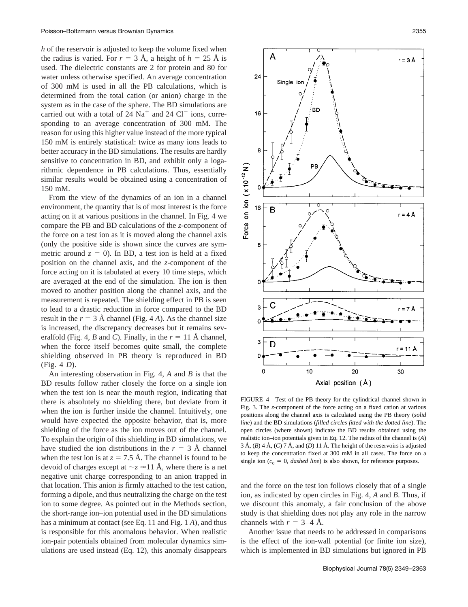*h* of the reservoir is adjusted to keep the volume fixed when the radius is varied. For  $r = 3$  Å, a height of  $h = 25$  Å is used. The dielectric constants are 2 for protein and 80 for water unless otherwise specified. An average concentration of 300 mM is used in all the PB calculations, which is determined from the total cation (or anion) charge in the system as in the case of the sphere. The BD simulations are carried out with a total of  $24 \text{ Na}^+$  and  $24 \text{ Cl}^-$  ions, corresponding to an average concentration of 300 mM. The reason for using this higher value instead of the more typical 150 mM is entirely statistical: twice as many ions leads to better accuracy in the BD simulations. The results are hardly sensitive to concentration in BD, and exhibit only a logarithmic dependence in PB calculations. Thus, essentially similar results would be obtained using a concentration of 150 mM.

From the view of the dynamics of an ion in a channel environment, the quantity that is of most interest is the force acting on it at various positions in the channel. In Fig. 4 we compare the PB and BD calculations of the *z*-component of the force on a test ion as it is moved along the channel axis (only the positive side is shown since the curves are symmetric around  $z = 0$ ). In BD, a test ion is held at a fixed position on the channel axis, and the *z*-component of the force acting on it is tabulated at every 10 time steps, which are averaged at the end of the simulation. The ion is then moved to another position along the channel axis, and the measurement is repeated. The shielding effect in PB is seen to lead to a drastic reduction in force compared to the BD result in the  $r = 3$  Å channel (Fig. 4 *A*). As the channel size is increased, the discrepancy decreases but it remains severalfold (Fig. 4, *B* and *C*). Finally, in the  $r = 11 \text{ Å}$  channel, when the force itself becomes quite small, the complete shielding observed in PB theory is reproduced in BD (Fig. 4 *D*).

An interesting observation in Fig. 4, *A* and *B* is that the BD results follow rather closely the force on a single ion when the test ion is near the mouth region, indicating that there is absolutely no shielding there, but deviate from it when the ion is further inside the channel. Intuitively, one would have expected the opposite behavior, that is, more shielding of the force as the ion moves out of the channel. To explain the origin of this shielding in BD simulations, we have studied the ion distributions in the  $r = 3$  Å channel when the test ion is at  $z = 7.5$  Å. The channel is found to be devoid of charges except at  $\sim$ z  $\approx$ 11 Å, where there is a net negative unit charge corresponding to an anion trapped in that location. This anion is firmly attached to the test cation, forming a dipole, and thus neutralizing the charge on the test ion to some degree. As pointed out in the Methods section, the short-range ion–ion potential used in the BD simulations has a minimum at contact (see Eq. 11 and Fig. 1 *A*), and thus is responsible for this anomalous behavior. When realistic ion-pair potentials obtained from molecular dynamics simulations are used instead (Eq. 12), this anomaly disappears



FIGURE 4 Test of the PB theory for the cylindrical channel shown in Fig. 3. The *z*-component of the force acting on a fixed cation at various positions along the channel axis is calculated using the PB theory (*solid line*) and the BD simulations (*filled circles fitted with the dotted line*). The open circles (where shown) indicate the BD results obtained using the realistic ion–ion potentials given in Eq. 12. The radius of the channel is (*A*) 3 Å, (*B*) 4 Å, (*C*) 7 Å, and (*D*) 11 Å. The height of the reservoirs is adjusted to keep the concentration fixed at 300 mM in all cases. The force on a single ion  $(c_0 = 0, dashed line)$  is also shown, for reference purposes.

and the force on the test ion follows closely that of a single ion, as indicated by open circles in Fig. 4, *A* and *B*. Thus, if we discount this anomaly, a fair conclusion of the above study is that shielding does not play any role in the narrow channels with  $r = 3-4$  Å.

Another issue that needs to be addressed in comparisons is the effect of the ion-wall potential (or finite ion size), which is implemented in BD simulations but ignored in PB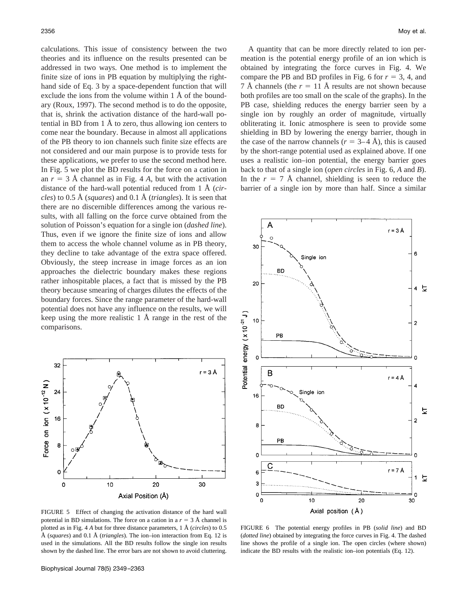calculations. This issue of consistency between the two theories and its influence on the results presented can be addressed in two ways. One method is to implement the finite size of ions in PB equation by multiplying the righthand side of Eq. 3 by a space-dependent function that will exclude the ions from the volume within 1 Å of the boundary (Roux, 1997). The second method is to do the opposite, that is, shrink the activation distance of the hard-wall potential in BD from 1 Å to zero, thus allowing ion centers to come near the boundary. Because in almost all applications of the PB theory to ion channels such finite size effects are not considered and our main purpose is to provide tests for these applications, we prefer to use the second method here. In Fig. 5 we plot the BD results for the force on a cation in an  $r = 3$  Å channel as in Fig. 4 *A*, but with the activation distance of the hard-wall potential reduced from1Å(*circles*) to 0.5 Å (*squares*) and 0.1 Å (*triangles*). It is seen that there are no discernible differences among the various results, with all falling on the force curve obtained from the solution of Poisson's equation for a single ion (*dashed line*). Thus, even if we ignore the finite size of ions and allow them to access the whole channel volume as in PB theory, they decline to take advantage of the extra space offered. Obviously, the steep increase in image forces as an ion approaches the dielectric boundary makes these regions rather inhospitable places, a fact that is missed by the PB theory because smearing of charges dilutes the effects of the boundary forces. Since the range parameter of the hard-wall potential does not have any influence on the results, we will keep using the more realistic 1 Å range in the rest of the comparisons.



obtained by integrating the force curves in Fig. 4. We compare the PB and BD profiles in Fig. 6 for  $r = 3$ , 4, and 7 Å channels (the  $r = 11$  Å results are not shown because both profiles are too small on the scale of the graphs). In the PB case, shielding reduces the energy barrier seen by a single ion by roughly an order of magnitude, virtually obliterating it. Ionic atmosphere is seen to provide some shielding in BD by lowering the energy barrier, though in the case of the narrow channels  $(r = 3-4 \text{ Å})$ , this is caused by the short-range potential used as explained above. If one uses a realistic ion–ion potential, the energy barrier goes back to that of a single ion (*open circles* in Fig. 6, *A* and *B*). In the  $r = 7$  Å channel, shielding is seen to reduce the barrier of a single ion by more than half. Since a similar

A quantity that can be more directly related to ion per-



FIGURE 5 Effect of changing the activation distance of the hard wall potential in BD simulations. The force on a cation in a  $r = 3$  Å channel is plotted as in Fig. 4 *A* but for three distance parameters,1Å(*circles*) to 0.5 Å (*squares*) and 0.1 Å (*triangles*). The ion–ion interaction from Eq. 12 is used in the simulations. All the BD results follow the single ion results shown by the dashed line. The error bars are not shown to avoid cluttering.

FIGURE 6 The potential energy profiles in PB (*solid line*) and BD (*dotted line*) obtained by integrating the force curves in Fig. 4. The dashed line shows the profile of a single ion. The open circles (where shown) indicate the BD results with the realistic ion–ion potentials (Eq. 12).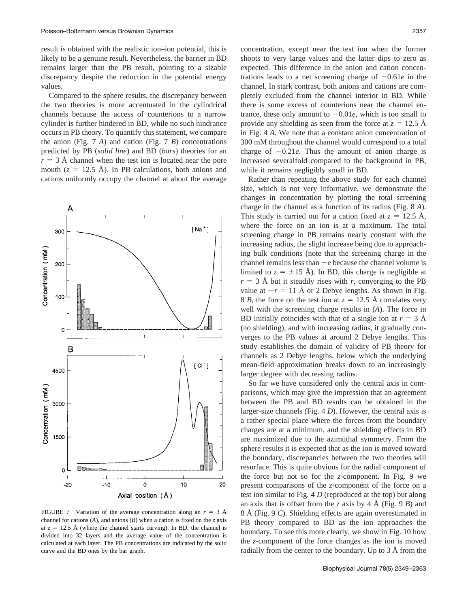result is obtained with the realistic ion–ion potential, this is likely to be a genuine result. Nevertheless, the barrier in BD remains larger than the PB result, pointing to a sizable discrepancy despite the reduction in the potential energy values.

Compared to the sphere results, the discrepancy between the two theories is more accentuated in the cylindrical channels because the access of counterions to a narrow cylinder is further hindered in BD, while no such hindrance occurs in PB theory. To quantify this statement, we compare the anion (Fig. 7 *A*) and cation (Fig. 7 *B*) concentrations predicted by PB (*solid line*) and BD (*bars*) theories for an  $r = 3$  Å channel when the test ion is located near the pore mouth  $(z = 12.5 \text{ Å})$ . In PB calculations, both anions and cations uniformly occupy the channel at about the average



FIGURE 7 Variation of the average concentration along an  $r = 3$  Å channel for cations (*A*), and anions (*B*) when a cation is fixed on the *z* axis at  $z = 12.5$  Å (where the channel starts curving). In BD, the channel is divided into 32 layers and the average value of the concentration is calculated at each layer. The PB concentrations are indicated by the solid curve and the BD ones by the bar graph.

concentration, except near the test ion when the former shoots to very large values and the latter dips to zero as expected. This difference in the anion and cation concentrations leads to a net screening charge of  $-0.61e$  in the channel. In stark contrast, both anions and cations are completely excluded from the channel interior in BD. While there is some excess of counterions near the channel entrance, these only amount to  $-0.01e$ , which is too small to provide any shielding as seen from the force at  $z = 12.5$  Å in Fig. 4 *A*. We note that a constant anion concentration of 300 mM throughout the channel would correspond to a total charge of  $-0.21e$ . Thus the amount of anion charge is increased severalfold compared to the background in PB, while it remains negligibly small in BD.

Rather than repeating the above study for each channel size, which is not very informative, we demonstrate the changes in concentration by plotting the total screening charge in the channel as a function of its radius (Fig. 8 *A*). This study is carried out for a cation fixed at  $z = 12.5$  Å, where the force on an ion is at a maximum. The total screening charge in PB remains nearly constant with the increasing radius, the slight increase being due to approaching bulk conditions (note that the screening charge in the channel remains less than  $-e$  because the channel volume is limited to  $z = \pm 15$  Å). In BD, this charge is negligible at  $r = 3$  Å but it steadily rises with *r*, converging to the PB value at  $\sim r = 11$  Å or 2 Debye lengths. As shown in Fig. 8 *B*, the force on the test ion at  $z = 12.5$  Å correlates very well with the screening charge results in (*A*). The force in BD initially coincides with that of a single ion at  $r = 3$   $\AA$ (no shielding), and with increasing radius, it gradually converges to the PB values at around 2 Debye lengths. This study establishes the domain of validity of PB theory for channels as 2 Debye lengths, below which the underlying mean-field approximation breaks down to an increasingly larger degree with decreasing radius.

So far we have considered only the central axis in comparisons, which may give the impression that an agreement between the PB and BD results can be obtained in the larger-size channels (Fig. 4 *D*). However, the central axis is a rather special place where the forces from the boundary charges are at a minimum, and the shielding effects in BD are maximized due to the azimuthal symmetry. From the sphere results it is expected that as the ion is moved toward the boundary, discrepancies between the two theories will resurface. This is quite obvious for the radial component of the force but not so for the *z-*component. In Fig. 9 we present comparisons of the *z*-component of the force on a test ion similar to Fig. 4 *D* (reproduced at the top) but along an axis that is offset from the *z* axis by 4 Å (Fig. 9 *B*) and 8 Å (Fig. 9 *C*). Shielding effects are again overestimated in PB theory compared to BD as the ion approaches the boundary. To see this more clearly, we show in Fig. 10 how the *z*-component of the force changes as the ion is moved radially from the center to the boundary. Up to 3 Å from the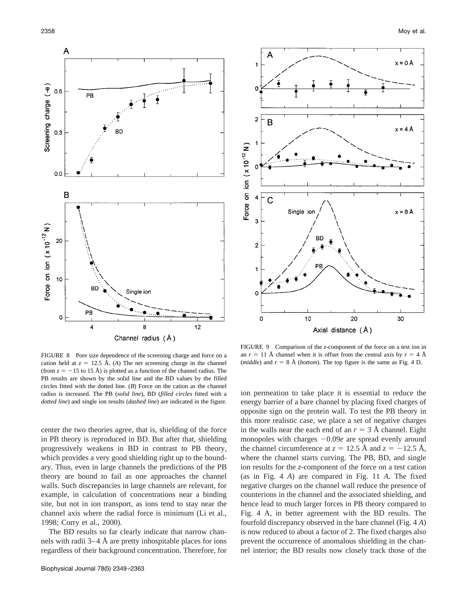



FIGURE 8 Pore size dependence of the screening charge and force on a cation held at  $z = 12.5$  Å. (*A*) The net screening charge in the channel (from  $z = -15$  to 15 Å) is plotted as a function of the channel radius. The PB results are shown by the solid line and the BD values by the filled circles fitted with the dotted line. (*B*) Force on the cation as the channel radius is increased. The PB (*solid line*), BD (*filled circles* fitted with a *dotted line*) and single ion results (*dashed line*) are indicated in the figure.

center the two theories agree, that is, shielding of the force in PB theory is reproduced in BD. But after that, shielding progressively weakens in BD in contrast to PB theory, which provides a very good shielding right up to the boundary. Thus, even in large channels the predictions of the PB theory are bound to fail as one approaches the channel walls. Such discrepancies in large channels are relevant, for example, in calculation of concentrations near a binding site, but not in ion transport, as ions tend to stay near the channel axis where the radial force is minimum (Li et al., 1998; Corry et al., 2000).

The BD results so far clearly indicate that narrow channels with radii 3–4 Å are pretty inhospitable places for ions regardless of their background concentration. Therefore, for

FIGURE 9 Comparison of the *z*-component of the force on a test ion in an  $r = 11$  Å channel when it is offset from the central axis by  $r = 4$  Å (*middle*) and  $r = 8$  Å (*bottom*). The top figure is the same as Fig. 4 D.

ion permeation to take place it is essential to reduce the energy barrier of a bare channel by placing fixed charges of opposite sign on the protein wall. To test the PB theory in this more realistic case, we place a set of negative charges in the walls near the each end of an  $r = 3$  Å channel. Eight monopoles with charges  $-0.09e$  are spread evenly around the channel circumference at  $z = 12.5$  Å and  $z = -12.5$  Å, where the channel starts curving. The PB, BD, and single ion results for the *z*-component of the force on a test cation (as in Fig. 4 *A*) are compared in Fig. 11 *A*. The fixed negative charges on the channel wall reduce the presence of counterions in the channel and the associated shielding, and hence lead to much larger forces in PB theory compared to Fig. 4 A, in better agreement with the BD results. The fourfold discrepancy observed in the bare channel (Fig. 4 *A*) is now reduced to about a factor of 2. The fixed charges also prevent the occurrence of anomalous shielding in the channel interior; the BD results now closely track those of the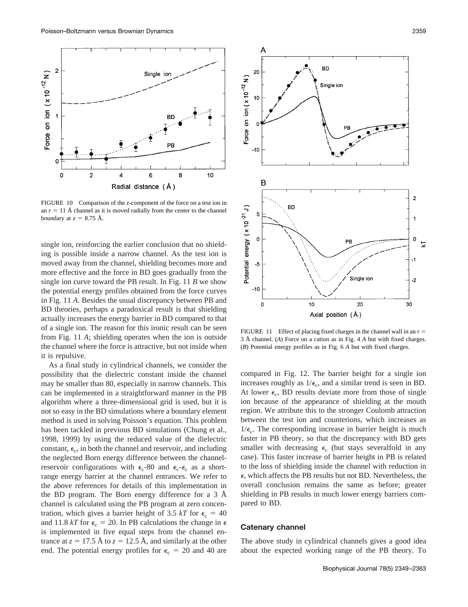

FIGURE 10 Comparison of the *z*-component of the force on a test ion in an  $r = 11$  Å channel as it is moved radially from the center to the channel boundary at  $z = 8.75$  Å.

single ion, reinforcing the earlier conclusion that no shielding is possible inside a narrow channel. As the test ion is moved away from the channel, shielding becomes more and more effective and the force in BD goes gradually from the single ion curve toward the PB result. In Fig. 11 *B* we show the potential energy profiles obtained from the force curves in Fig. 11 *A*. Besides the usual discrepancy between PB and BD theories, perhaps a paradoxical result is that shielding actually increases the energy barrier in BD compared to that of a single ion. The reason for this ironic result can be seen from Fig. 11 *A*; shielding operates when the ion is outside the channel where the force is attractive, but not inside when it is repulsive.

As a final study in cylindrical channels, we consider the possibility that the dielectric constant inside the channel may be smaller than 80, especially in narrow channels. This can be implemented in a straightforward manner in the PB algorithm where a three-dimensional grid is used, but it is not so easy in the BD simulations where a boundary element method is used in solving Poisson's equation. This problem has been tackled in previous BD simulations (Chung et al., 1998, 1999) by using the reduced value of the dielectric constant,  $\epsilon_c$ , in both the channel and reservoir, and including the neglected Born energy difference between the channelreservoir configurations with  $\epsilon_c$ -80 and  $\epsilon_c$ - $\epsilon_c$  as a shortrange energy barrier at the channel entrances. We refer to the above references for details of this implementation in the BD program. The Born energy difference for a 3 A channel is calculated using the PB program at zero concentration, which gives a barrier height of 3.5 kT for  $\epsilon_c = 40$ and 11.8 kT for  $\epsilon_c = 20$ . In PB calculations the change in  $\epsilon$ is implemented in five equal steps from the channel entrance at  $z = 17.5$  Å to  $z = 12.5$  Å, and similarly at the other end. The potential energy profiles for  $\epsilon_c = 20$  and 40 are



FIGURE 11 Effect of placing fixed charges in the channel wall in an  $r =$ 3 Å channel. (*A*) Force on a cation as in Fig. 4 *A* but with fixed charges. (*B*) Potential energy profiles as in Fig. 6 *A* but with fixed charges.

compared in Fig. 12. The barrier height for a single ion increases roughly as  $1/\epsilon_c$ , and a similar trend is seen in BD. At lower  $\epsilon_c$ , BD results deviate more from those of single ion because of the appearance of shielding at the mouth region. We attribute this to the stronger Coulomb attraction between the test ion and counterions, which increases as  $1/\epsilon_{c}$ . The corresponding increase in barrier height is much faster in PB theory, so that the discrepancy with BD gets smaller with decreasing  $\epsilon_c$  (but stays severalfold in any case). This faster increase of barrier height in PB is related to the loss of shielding inside the channel with reduction in <sup>e</sup>, which affects the PB results but not BD. Nevertheless, the overall conclusion remains the same as before; greater shielding in PB results in much lower energy barriers compared to BD.

#### **Catenary channel**

The above study in cylindrical channels gives a good idea about the expected working range of the PB theory. To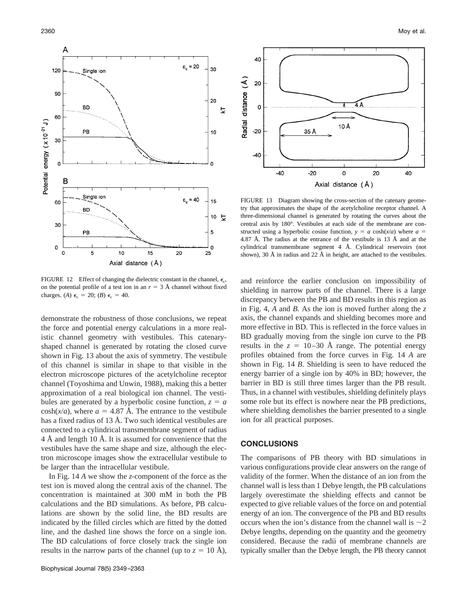

FIGURE 12 Effect of changing the dielectric constant in the channel,  $\epsilon_c$ , on the potential profile of a test ion in an  $r = 3$  Å channel without fixed charges. (*A*)  $\epsilon_c = 20$ ; (*B*)  $\epsilon_c = 40$ .

demonstrate the robustness of those conclusions, we repeat the force and potential energy calculations in a more realistic channel geometry with vestibules. This catenaryshaped channel is generated by rotating the closed curve shown in Fig. 13 about the axis of symmetry. The vestibule of this channel is similar in shape to that visible in the electron microscope pictures of the acetylcholine receptor channel (Toyoshima and Unwin, 1988), making this a better approximation of a real biological ion channel. The vestibules are generated by a hyperbolic cosine function,  $z = a$  $cosh(x/a)$ , where  $a = 4.87$  Å. The entrance to the vestibule has a fixed radius of 13 Å. Two such identical vestibules are connected to a cylindrical transmembrane segment of radius 4 Å and length 10 Å. It is assumed for convenience that the vestibules have the same shape and size, although the electron microscope images show the extracellular vestibule to be larger than the intracellular vestibule.

In Fig. 14 *A* we show the *z*-component of the force as the test ion is moved along the central axis of the channel. The concentration is maintained at 300 mM in both the PB calculations and the BD simulations. As before, PB calculations are shown by the solid line, the BD results are indicated by the filled circles which are fitted by the dotted line, and the dashed line shows the force on a single ion. The BD calculations of force closely track the single ion results in the narrow parts of the channel (up to  $z = 10$  A),



FIGURE 13 Diagram showing the cross-section of the catenary geometry that approximates the shape of the acetylcholine receptor channel. A three-dimensional channel is generated by rotating the curves about the central axis by 180°. Vestibules at each side of the membrane are constructed using a hyperbolic cosine function,  $y = a \cosh(x/a)$  where  $a =$ 4.87 Å. The radius at the entrance of the vestibule is 13 Å and at the cylindrical transmembrane segment 4 Å. Cylindrical reservoirs (not shown), 30 Å in radius and 22 Å in height, are attached to the vestibules.

and reinforce the earlier conclusion on impossibility of shielding in narrow parts of the channel. There is a large discrepancy between the PB and BD results in this region as in Fig. 4, *A* and *B*. As the ion is moved further along the *z* axis, the channel expands and shielding becomes more and more effective in BD. This is reflected in the force values in BD gradually moving from the single ion curve to the PB results in the  $z = 10-30$  Å range. The potential energy profiles obtained from the force curves in Fig. 14 *A* are shown in Fig. 14 *B*. Shielding is seen to have reduced the energy barrier of a single ion by 40% in BD; however, the barrier in BD is still three times larger than the PB result. Thus, in a channel with vestibules, shielding definitely plays some role but its effect is nowhere near the PB predictions, where shielding demolishes the barrier presented to a single ion for all practical purposes.

# **CONCLUSIONS**

The comparisons of PB theory with BD simulations in various configurations provide clear answers on the range of validity of the former. When the distance of an ion from the channel wall is less than 1 Debye length, the PB calculations largely overestimate the shielding effects and cannot be expected to give reliable values of the force on and potential energy of an ion. The convergence of the PB and BD results occurs when the ion's distance from the channel wall is  $\sim$ 2 Debye lengths, depending on the quantity and the geometry considered. Because the radii of membrane channels are typically smaller than the Debye length, the PB theory cannot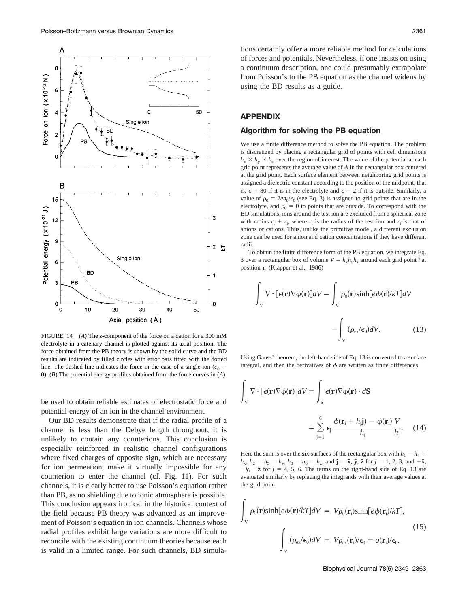

FIGURE 14 (*A*) The *z*-component of the force on a cation for a 300 mM electrolyte in a catenary channel is plotted against its axial position. The force obtained from the PB theory is shown by the solid curve and the BD results are indicated by filled circles with error bars fitted with the dotted line. The dashed line indicates the force in the case of a single ion  $(c_0 =$ 0). (*B*) The potential energy profiles obtained from the force curves in (*A*).

be used to obtain reliable estimates of electrostatic force and potential energy of an ion in the channel environment.

Our BD results demonstrate that if the radial profile of a channel is less than the Debye length throughout, it is unlikely to contain any counterions. This conclusion is especially reinforced in realistic channel configurations where fixed charges of opposite sign, which are necessary for ion permeation, make it virtually impossible for any counterion to enter the channel (cf. Fig. 11). For such channels, it is clearly better to use Poisson's equation rather than PB, as no shielding due to ionic atmosphere is possible. This conclusion appears ironical in the historical context of the field because PB theory was advanced as an improvement of Poisson's equation in ion channels. Channels whose radial profiles exhibit large variations are more difficult to reconcile with the existing continuum theories because each is valid in a limited range. For such channels, BD simulations certainly offer a more reliable method for calculations of forces and potentials. Nevertheless, if one insists on using a continuum description, one could presumably extrapolate from Poisson's to the PB equation as the channel widens by using the BD results as a guide.

## **APPENDIX**

#### **Algorithm for solving the PB equation**

We use a finite difference method to solve the PB equation. The problem is discretized by placing a rectangular grid of points with cell dimensions  $h_x \times h_y \times h_z$  over the region of interest. The value of the potential at each grid point represents the average value of  $\phi$  in the rectangular box centered at the grid point. Each surface element between neighboring grid points is assigned a dielectric constant according to the position of the midpoint, that is,  $\epsilon = 80$  if it is in the electrolyte and  $\epsilon = 2$  if it is outside. Similarly, a value of  $\rho_0 = 2en_0/\epsilon_0$  (see Eq. 3) is assigned to grid points that are in the electrolyte, and  $\rho_0 = 0$  to points that are outside. To correspond with the BD simulations, ions around the test ion are excluded from a spherical zone with radius  $r_t + r_i$ , where  $r_t$  is the radius of the test ion and  $r_i$  is that of anions or cations. Thus, unlike the primitive model, a different exclusion zone can be used for anion and cation concentrations if they have different radii.

To obtain the finite difference form of the PB equation, we integrate Eq. 3 over a rectangular box of volume  $V = h<sub>x</sub>h<sub>y</sub>h<sub>z</sub>$  around each grid point *i* at position **r**<sup>i</sup> (Klapper et al., 1986)

$$
\int_{V} \nabla \cdot [\epsilon(\mathbf{r}) \nabla \phi(\mathbf{r})]dV = \int_{V} \rho_{0}(\mathbf{r}) \sinh[\epsilon \phi(\mathbf{r})/kT]dV
$$

$$
- \int_{V} (\rho_{ex}/\epsilon_{0})dV. \tag{13}
$$

Using Gauss' theorem, the left-hand side of Eq. 13 is converted to a surface integral, and then the derivatives of  $\phi$  are written as finite differences

$$
\int_{V} \nabla \cdot [\epsilon(\mathbf{r}) \nabla \phi(\mathbf{r})] dV = \int_{S} \epsilon(\mathbf{r}) \nabla \phi(\mathbf{r}) \cdot d\mathbf{S}
$$
\n
$$
= \sum_{j=1}^{6} \epsilon_{j} \frac{\phi(\mathbf{r}_{i} + h_{j}\mathbf{j}) - \phi(\mathbf{r}_{i})}{h_{j}} \frac{V}{h_{j}}.
$$
\n(14)

Here the sum is over the six surfaces of the rectangular box with  $h_1 = h_4 =$  $h_x$ ,  $h_2 = h_5 = h_y$ ,  $h_3 = h_6 = h_z$ , and  $\hat{\mathbf{j}} = \hat{\mathbf{x}}$ ,  $\hat{\mathbf{y}}$ ,  $\hat{\mathbf{z}}$  for  $j = 1, 2, 3$ , and  $-\hat{\mathbf{x}}$ ,  $-\hat{\mathbf{y}}$ ,  $-\hat{\mathbf{z}}$  for  $j = 4, 5, 6$ . The terms on the right-hand side of Eq. 13 are evaluated similarly by replacing the integrands with their average values at the grid point

$$
\int_{V} \rho_0(\mathbf{r}) \sinh[e\phi(\mathbf{r})/kT]dV = V\rho_0(\mathbf{r}_i) \sinh[e\phi(\mathbf{r}_i)/kT],
$$
\n
$$
\int_{V} (\rho_{ex}/\epsilon_0)dV = V\rho_{ex}(\mathbf{r}_i)/\epsilon_0 = q(\mathbf{r}_i)/\epsilon_0.
$$
\n(15)

Biophysical Journal 78(5) 2349–2363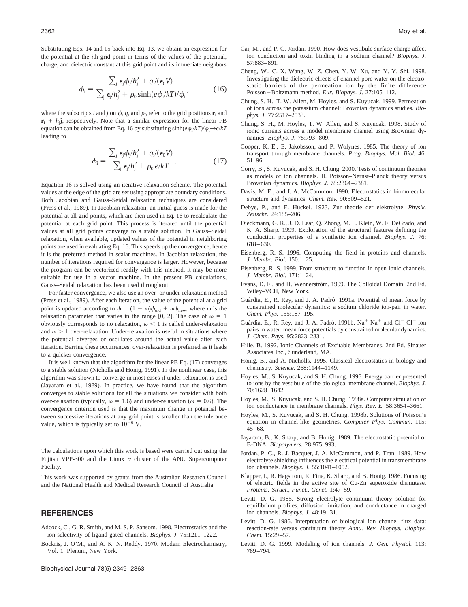Substituting Eqs. 14 and 15 back into Eq. 13, we obtain an expression for the potential at the *i*th grid point in terms of the values of the potential, charge, and dielectric constant at this grid point and its immediate neighbors

$$
\phi_{i} = \frac{\sum_{j} \epsilon_{j} \phi_{j}/h_{j}^{2} + q_{i}/(\epsilon_{0} V)}{\sum_{j} \epsilon_{j}/h_{j}^{2} + \rho_{0i} \sinh(e \phi_{i}/kT)/\phi_{i}},
$$
\n(16)

where the subscripts *i* and *j* on  $\phi$ , *q*, and  $\rho_0$  refer to the grid positions  $\mathbf{r}_i$  and  $\mathbf{r}_i + h_j \mathbf{\hat{j}}$ , respectively. Note that a similar expression for the linear PB equation can be obtained from Eq. 16 by substituting  $\sinh(e\phi_i/kT)/\phi_i \rightarrow e/kT$ leading to

$$
\phi_{\rm i} = \frac{\sum_{\rm j} \epsilon_{\rm j} \phi_{\rm j} / h_{\rm j}^2 + q_{\rm i} / (\epsilon_{\rm 0} V)}{\sum_{\rm j} \epsilon_{\rm j} / h_{\rm j}^2 + \rho_{\rm 0i} e / kT} \,. \tag{17}
$$

Equation 16 is solved using an iterative relaxation scheme. The potential values at the edge of the grid are set using appropriate boundary conditions. Both Jacobian and Gauss–Seidal relaxation techniques are considered (Press et al., 1989). In Jacobian relaxation, an initial guess is made for the potential at all grid points, which are then used in Eq. 16 to recalculate the potential at each grid point. This process is iterated until the potential values at all grid points converge to a stable solution. In Gauss–Seidal relaxation, when available, updated values of the potential in neighboring points are used in evaluating Eq. 16. This speeds up the convergence, hence it is the preferred method in scalar machines. In Jacobian relaxation, the number of iterations required for convergence is larger. However, because the program can be vectorized readily with this method, it may be more suitable for use in a vector machine. In the present PB calculations, Gauss–Seidal relaxation has been used throughout.

For faster convergence, we also use an over- or under-relaxation method (Press et al., 1989). After each iteration, the value of the potential at a grid point is updated according to  $\phi = (1 - \omega)\phi_{old} + \omega\phi_{new}$ , where  $\omega$  is the relaxation parameter that varies in the range [0, 2]. The case of  $\omega = 1$ obviously corresponds to no relaxation,  $\omega$  < 1 is called under-relaxation and  $\omega > 1$  over-relaxation. Under-relaxation is useful in situations where the potential diverges or oscillates around the actual value after each iteration. Barring these occurrences, over-relaxation is preferred as it leads to a quicker convergence.

It is well known that the algorithm for the linear PB Eq. (17) converges to a stable solution (Nicholls and Honig, 1991). In the nonlinear case, this algorithm was shown to converge in most cases if under-relaxation is used (Jayaram et al., 1989). In practice, we have found that the algorithm converges to stable solutions for all the situations we consider with both over-relaxation (typically,  $\omega = 1.6$ ) and under-relaxation ( $\omega = 0.6$ ). The convergence criterion used is that the maximum change in potential between successive iterations at any grid point is smaller than the tolerance value, which is typically set to  $10^{-6}$  V.

The calculations upon which this work is based were carried out using the Fujitsu VPP-300 and the Linux  $\alpha$  cluster of the ANU Supercomputer Facility.

This work was supported by grants from the Australian Research Council and the National Health and Medical Research Council of Australia.

#### **REFERENCES**

- Adcock, C., G. R. Smith, and M. S. P. Sansom. 1998. Electrostatics and the ion selectivity of ligand-gated channels. *Biophys. J.* 75:1211–1222.
- Bockris, J. O'M., and A. K. N. Reddy. 1970. Modern Electrochemistry, Vol. 1. Plenum, New York.
- Cai, M., and P. C. Jordan. 1990. How does vestibule surface charge affect ion conduction and toxin binding in a sodium channel? *Biophys. J.* 57:883–891.
- Cheng, W., C. X. Wang, W. Z. Chen, Y. W. Xu, and Y. Y. Shi. 1998. Investigating the dielectric effects of channel pore water on the electrostatic barriers of the permeation ion by the finite difference Poisson-Boltzmann method. *Eur. Biophys. J.* 27:105–112.
- Chung, S. H., T. W. Allen, M. Hoyles, and S. Kuyucak. 1999. Permeation of ions across the potassium channel: Brownian dynamics studies. *Biophys. J.* 77:2517–2533.
- Chung, S. H., M. Hoyles, T. W. Allen, and S. Kuyucak. 1998. Study of ionic currents across a model membrane channel using Brownian dynamics. *Biophys. J.* 75:793–809.
- Cooper, K. E., E. Jakobsson, and P. Wolynes. 1985. The theory of ion transport through membrane channels. *Prog. Biophys. Mol. Biol.* 46: 51–96.
- Corry, B., S. Kuyucak, and S. H. Chung. 2000. Tests of continuum theories as models of ion channels. II. Poisson–Nernst–Planck theory versus Brownian dynamics. *Biophys. J*. 78:2364–2381.
- Davis, M. E., and J. A. McCammon. 1990. Electrostatics in biomolecular structure and dynamics. *Chem. Rev.* 90:509–521.
- Debye, P., and E. Hückel. 1923. Zur theorie der elektrolyte. Physik. *Zeitschr.* 24:185–206.
- Dieckmann, G. R., J. D. Lear, Q. Zhong, M. L. Klein, W. F. DeGrado, and K. A. Sharp. 1999. Exploration of the structural features defining the conduction properties of a synthetic ion channel. *Biophys. J.* 76: 618–630.
- Eisenberg, R. S. 1996. Computing the field in proteins and channels. *J. Membr. Biol.* 150:1–25.
- Eisenberg, R. S. 1999. From structure to function in open ionic channels. *J. Membr. Biol.* 171:1–24.
- Evans, D. F., and H. Wennerström. 1999. The Colloidal Domain, 2nd Ed. Wiley–VCH, New York.
- Guàrdia, E., R. Rey, and J. A. Padró. 1991a. Potential of mean force by constrained molecular dynamics: a sodium chloride ion-pair in water. *Chem. Phys.* 155:187–195.
- Guàrdia, E., R. Rey, and J. A. Padró. 1991b.  $Na^+$ -Na<sup>+</sup> and Cl<sup>-</sup>-Cl<sup>-</sup> ion pairs in water: mean force potentials by constrained molecular dynamics. *J. Chem. Phys.* 95:2823–2831.
- Hille, B. 1992. Ionic Channels of Excitable Membranes, 2nd Ed. Sinauer Associates Inc., Sunderland, MA.
- Honig, B., and A. Nicholls. 1995. Classical electrostatics in biology and chemistry. *Science.* 268:1144–1149.
- Hoyles, M., S. Kuyucak, and S. H. Chung. 1996. Energy barrier presented to ions by the vestibule of the biological membrane channel. *Biophys. J.* 70:1628–1642.
- Hoyles, M., S. Kuyucak, and S. H. Chung. 1998a. Computer simulation of ion conductance in membrane channels. *Phys. Rev. E.* 58:3654–3661.
- Hoyles, M., S. Kuyucak, and S. H. Chung. 1998b. Solutions of Poisson's equation in channel-like geometries. *Computer Phys. Commun.* 115: 45–68.
- Jayaram, B., K. Sharp, and B. Honig. 1989. The electrostatic potential of B-DNA. *Biopolymers.* 28:975–993.
- Jordan, P. C., R. J. Bacquet, J. A. McCammon, and P. Tran. 1989. How electrolyte shielding influences the electrical potential in transmembrane ion channels. *Biophys. J.* 55:1041–1052.
- Klapper, I., R. Hagstrom, R. Fine, K. Sharp, and B. Honig. 1986. Focusing of electric fields in the active site of Cu-Zn superoxide dismutase. *Proteins: Struct., Funct., Genet.* 1:47–59.
- Levitt, D. G. 1985. Strong electrolyte continuum theory solution for equilibrium profiles, diffusion limitation, and conductance in charged ion channels. *Biophys. J.* 48:19–31.
- Levitt, D. G. 1986. Interpretation of biological ion channel flux data: reaction-rate versus continuum theory *Annu. Rev. Biophys. Biophys. Chem.* 15:29–57.
- Levitt, D. G. 1999. Modeling of ion channels. *J. Gen. Physiol.* 113: 789–794.